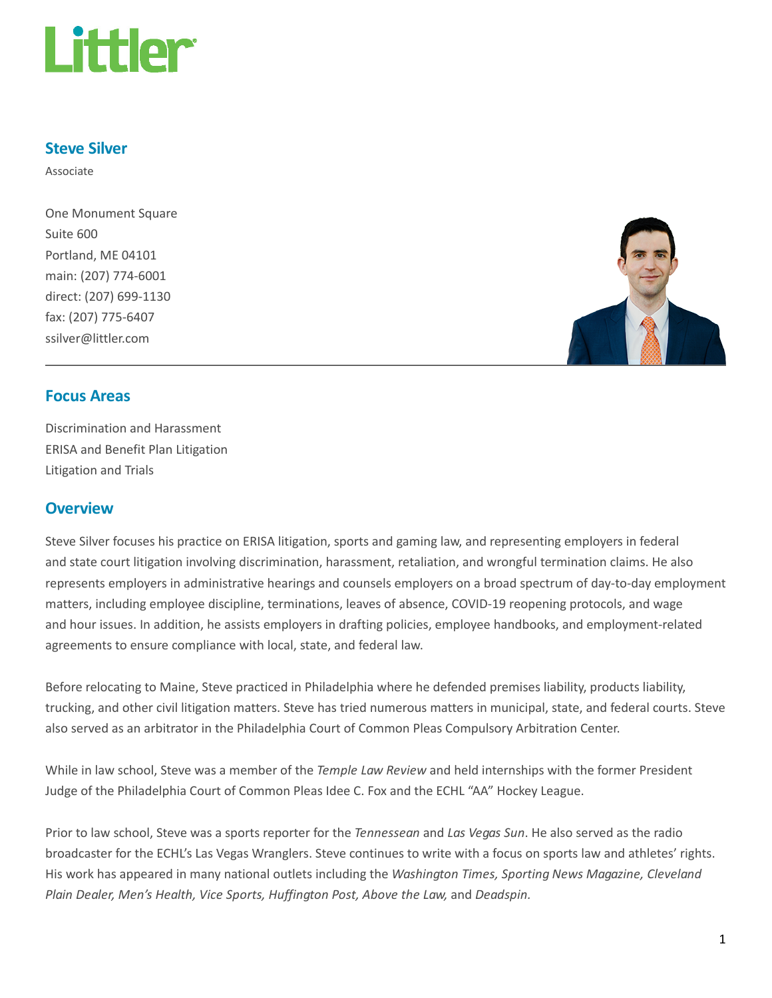

## Steve Silver

Associate

One Monument Square Suite 600 Portland, ME 04101 main: (207) 774-6001 direct: (207) 699-1130 fax: (207) 775-6407 ssilver@littler.com



## Focus Areas

Discrimination and Harassment ERISA and Benefit Plan Litigation Litigation and Trials

## **Overview**

Steve Silver focuses his practice on ERISA litigation, sports and gaming law, and representing employers in federal and state court litigation involving discrimination, harassment, retaliation, and wrongful termination claims. He also represents employers in administrative hearings and counsels employers on a broad spectrum of day-to-day employment matters, including employee discipline, terminations, leaves of absence, COVID-19 reopening protocols, and wage and hour issues. In addition, he assists employers in drafting policies, employee handbooks, and employment-related agreements to ensure compliance with local, state, and federal law.

Before relocating to Maine, Steve practiced in Philadelphia where he defended premises liability, products liability, trucking, and other civil litigation matters. Steve has tried numerous matters in municipal, state, and federal courts. Steve also served as an arbitrator in the Philadelphia Court of Common Pleas Compulsory Arbitration Center.

While in law school, Steve was a member of the Temple Law Review and held internships with the former President Judge of the Philadelphia Court of Common Pleas Idee C. Fox and the ECHL "AA" Hockey League.

Prior to law school, Steve was a sports reporter for the Tennessean and Las Vegas Sun. He also served as the radio broadcaster for the ECHL's Las Vegas Wranglers. Steve continues to write with a focus on sports law and athletes' rights. His work has appeared in many national outlets including the Washington Times, Sporting News Magazine, Cleveland Plain Dealer, Men's Health, Vice Sports, Huffington Post, Above the Law, and Deadspin.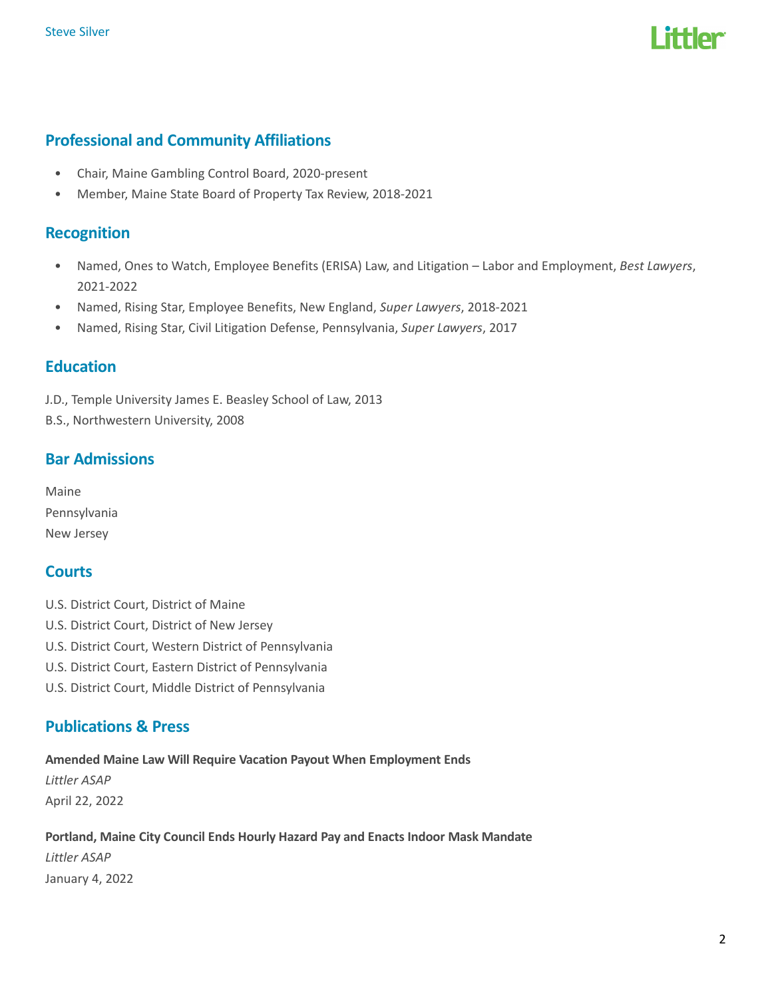

## Professional and Community Affiliations

- Chair, Maine Gambling Control Board, 2020-present
- Member, Maine State Board of Property Tax Review, 2018-2021

## **Recognition**

- Named, Ones to Watch, Employee Benefits (ERISA) Law, and Litigation Labor and Employment, Best Lawyers, 2021-2022
- Named, Rising Star, Employee Benefits, New England, Super Lawyers, 2018-2021
- Named, Rising Star, Civil Litigation Defense, Pennsylvania, Super Lawyers, 2017

### **Education**

J.D., Temple University James E. Beasley School of Law, 2013

B.S., Northwestern University, 2008

## Bar Admissions

Maine Pennsylvania New Jersey

## **Courts**

- U.S. District Court, District of Maine
- U.S. District Court, District of New Jersey
- U.S. District Court, Western District of Pennsylvania
- U.S. District Court, Eastern District of Pennsylvania
- U.S. District Court, Middle District of Pennsylvania

## Publications & Press

Amended Maine Law Will Require Vacation Payout When Employment Ends Littler ASAP April 22, 2022

## Portland, Maine City Council Ends Hourly Hazard Pay and Enacts Indoor Mask Mandate Littler ASAP January 4, 2022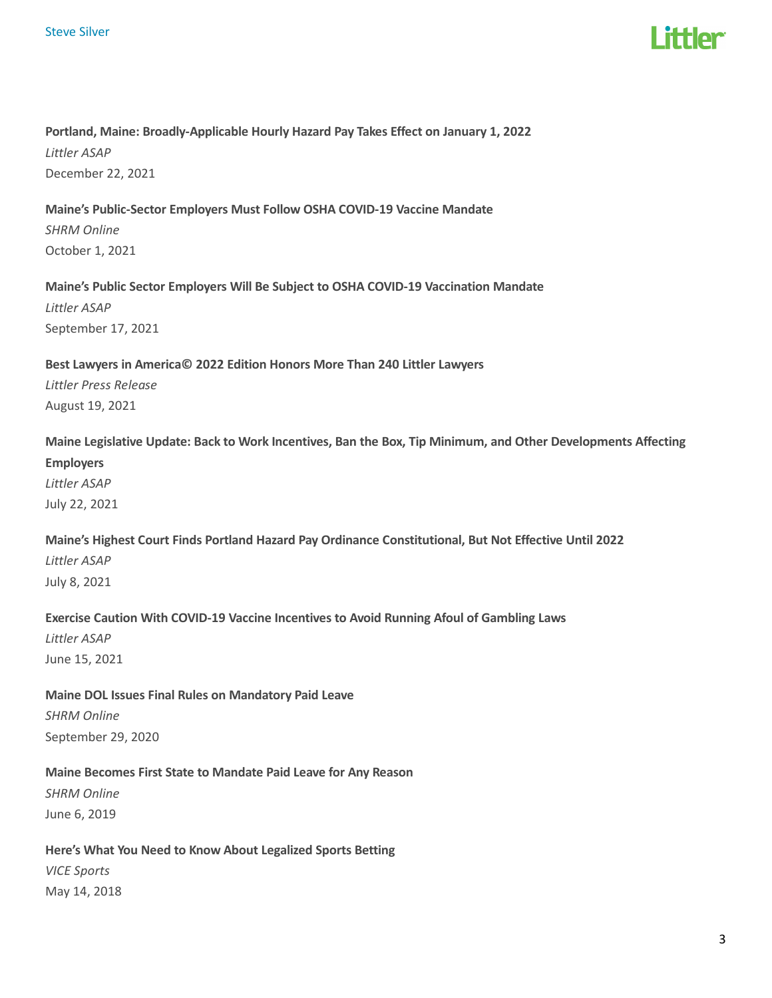

## Portland, Maine: Broadly-Applicable Hourly Hazard Pay Takes Effect on January 1, 2022 Littler ASAP December 22, 2021

### Maine's Public-Sector Employers Must Follow OSHA COVID-19 Vaccine Mandate

SHRM Online October 1, 2021

### Maine's Public Sector Employers Will Be Subject to OSHA COVID-19 Vaccination Mandate

Littler ASAP September 17, 2021

## Best Lawyers in America© 2022 Edition Honors More Than 240 Littler Lawyers Littler Press Release

August 19, 2021

Maine Legislative Update: Back to Work Incentives, Ban the Box, Tip Minimum, and Other Developments Affecting Employers Littler ASAP

July 22, 2021

## Maine's Highest Court Finds Portland Hazard Pay Ordinance Constitutional, But Not Effective Until 2022 Littler ASAP July 8, 2021

# Exercise Caution With COVID-19 Vaccine Incentives to Avoid Running Afoul of Gambling Laws

Littler ASAP June 15, 2021

## Maine DOL Issues Final Rules on Mandatory Paid Leave SHRM Online September 29, 2020

### Maine Becomes First State to Mandate Paid Leave for Any Reason

SHRM Online June 6, 2019

#### Here's What You Need to Know About Legalized Sports Betting

VICE Sports May 14, 2018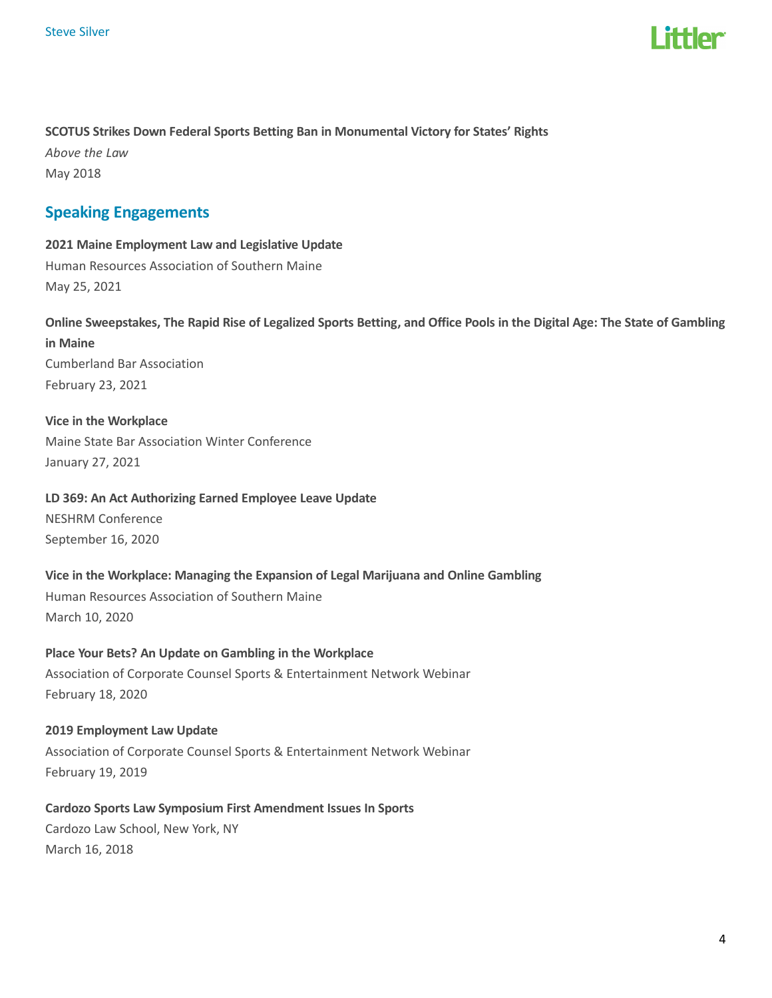

### SCOTUS Strikes Down Federal Sports Betting Ban in Monumental Victory for States' Rights

Above the Law May 2018

## Speaking Engagements

2021 Maine Employment Law and Legislative Update Human Resources Association of Southern Maine May 25, 2021

Online Sweepstakes, The Rapid Rise of Legalized Sports Betting, and Office Pools in the Digital Age: The State of Gambling in Maine Cumberland Bar Association February 23, 2021

Vice in the Workplace Maine State Bar Association Winter Conference January 27, 2021

## LD 369: An Act Authorizing Earned Employee Leave Update NESHRM Conference

September 16, 2020

Vice in the Workplace: Managing the Expansion of Legal Marijuana and Online Gambling Human Resources Association of Southern Maine March 10, 2020

### Place Your Bets? An Update on Gambling in the Workplace

Association of Corporate Counsel Sports & Entertainment Network Webinar February 18, 2020

#### 2019 Employment Law Update

Association of Corporate Counsel Sports & Entertainment Network Webinar February 19, 2019

Cardozo Sports Law Symposium First Amendment Issues In Sports Cardozo Law School, New York, NY

March 16, 2018